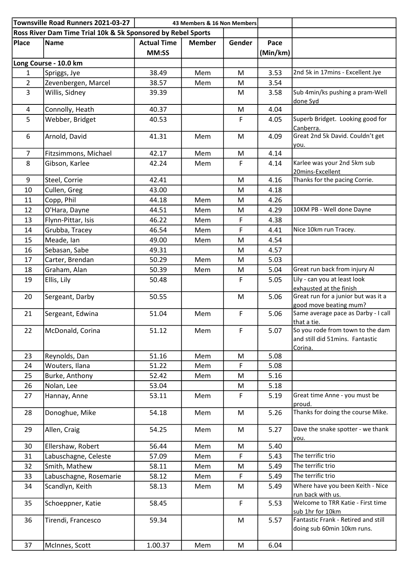| Townsville Road Runners 2021-03-27<br>43 Members & 16 Non Members |                        |                    |               |             |          |                                                                                |  |
|-------------------------------------------------------------------|------------------------|--------------------|---------------|-------------|----------|--------------------------------------------------------------------------------|--|
| Ross River Dam Time Trial 10k & 5k Sponsored by Rebel Sports      |                        |                    |               |             |          |                                                                                |  |
| Place                                                             | <b>Name</b>            | <b>Actual Time</b> | <b>Member</b> | Gender      | Pace     |                                                                                |  |
|                                                                   |                        | MM:SS              |               |             | (Min/km) |                                                                                |  |
| Long Course - 10.0 km                                             |                        |                    |               |             |          |                                                                                |  |
| $\mathbf{1}$                                                      | Spriggs, Jye           | 38.49              | Mem           | M           | 3.53     | 2nd 5k in 17mins - Excellent Jye                                               |  |
| $\overline{2}$                                                    | Zevenbergen, Marcel    | 38.57              | Mem           | M           | 3.54     |                                                                                |  |
| $\overline{3}$                                                    | Willis, Sidney         | 39.39              |               | M           | 3.58     | Sub 4min/ks pushing a pram-Well<br>done Syd                                    |  |
| 4                                                                 | Connolly, Heath        | 40.37              |               | M           | 4.04     |                                                                                |  |
| 5                                                                 | Webber, Bridget        | 40.53              |               | F           | 4.05     | Superb Bridget. Looking good for<br>Canberra.                                  |  |
| 6                                                                 | Arnold, David          | 41.31              | Mem           | M           | 4.09     | Great 2nd 5k David. Couldn't get<br>you.                                       |  |
| $\overline{7}$                                                    | Fitzsimmons, Michael   | 42.17              | Mem           | M           | 4.14     |                                                                                |  |
| 8                                                                 | Gibson, Karlee         | 42.24              | Mem           | F           | 4.14     | Karlee was your 2nd 5km sub<br>20mins-Excellent                                |  |
| 9                                                                 | Steel, Corrie          | 42.41              |               | M           | 4.16     | Thanks for the pacing Corrie.                                                  |  |
| 10                                                                | Cullen, Greg           | 43.00              |               | M           | 4.18     |                                                                                |  |
| 11                                                                | Copp, Phil             | 44.18              | Mem           | M           | 4.26     |                                                                                |  |
| 12                                                                | O'Hara, Dayne          | 44.51              | Mem           | M           | 4.29     | 10KM PB - Well done Dayne                                                      |  |
| 13                                                                | Flynn-Pittar, Isis     | 46.22              | Mem           | F           | 4.38     |                                                                                |  |
| 14                                                                | Grubba, Tracey         | 46.54              | Mem           | F           | 4.41     | Nice 10km run Tracey.                                                          |  |
| 15                                                                | Meade, Ian             | 49.00              | Mem           | M           | 4.54     |                                                                                |  |
| 16                                                                | Sebasan, Sabe          | 49.31              |               | M           | 4.57     |                                                                                |  |
| 17                                                                | Carter, Brendan        | 50.29              | Mem           | M           | 5.03     |                                                                                |  |
| 18                                                                | Graham, Alan           | 50.39              | Mem           | M           | 5.04     | Great run back from injury Al                                                  |  |
| 19                                                                | Ellis, Lily            | 50.48              |               | $\mathsf F$ | 5.05     | Lily - can you at least look                                                   |  |
|                                                                   |                        |                    |               |             |          | exhausted at the finish                                                        |  |
| 20                                                                | Sergeant, Darby        | 50.55              |               | M           | 5.06     | Great run for a junior but was it a<br>good move beating mum?                  |  |
| 21                                                                | Sergeant, Edwina       | 51.04              | Mem           | F           | 5.06     | Same average pace as Darby - I call<br>that a tie.                             |  |
| 22                                                                | McDonald, Corina       | 51.12              | Mem           | F           | 5.07     | So you rode from town to the dam<br>and still did 51mins. Fantastic<br>Corina. |  |
| 23                                                                | Reynolds, Dan          | 51.16              | Mem           | M           | 5.08     |                                                                                |  |
| 24                                                                | Wouters, Ilana         | 51.22              | Mem           | $\mathsf F$ | 5.08     |                                                                                |  |
| 25                                                                | Burke, Anthony         | 52.42              | Mem           | M           | 5.16     |                                                                                |  |
| 26                                                                | Nolan, Lee             | 53.04              |               | M           | 5.18     |                                                                                |  |
| 27                                                                | Hannay, Anne           | 53.11              | Mem           | F           | 5.19     | Great time Anne - you must be<br>proud.                                        |  |
| 28                                                                | Donoghue, Mike         | 54.18              | Mem           | M           | 5.26     | Thanks for doing the course Mike.                                              |  |
| 29                                                                | Allen, Craig           | 54.25              | Mem           | M           | 5.27     | Dave the snake spotter - we thank<br>you.                                      |  |
| 30                                                                | Ellershaw, Robert      | 56.44              | Mem           | M           | 5.40     |                                                                                |  |
| 31                                                                | Labuschagne, Celeste   | 57.09              | Mem           | F           | 5.43     | The terrific trio                                                              |  |
| 32                                                                | Smith, Mathew          | 58.11              | Mem           | M           | 5.49     | The terrific trio                                                              |  |
| 33                                                                | Labuschagne, Rosemarie | 58.12              | Mem           | F           | 5.49     | The terrific trio                                                              |  |
| 34                                                                | Scandlyn, Keith        | 58.13              | Mem           | M           | 5.49     | Where have you been Keith - Nice<br>run back with us.                          |  |
| 35                                                                | Schoeppner, Katie      | 58.45              |               | $\mathsf F$ | 5.53     | Welcome to TRR Katie - First time<br>sub 1hr for 10km                          |  |
| 36                                                                | Tirendi, Francesco     | 59.34              |               | M           | 5.57     | Fantastic Frank - Retired and still<br>doing sub 60min 10km runs.              |  |
| 37                                                                | McInnes, Scott         | 1.00.37            | Mem           | M           | 6.04     |                                                                                |  |